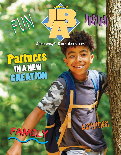

## **PUZITSIS**

**JUNIORWAY® BIBLE ACTIVITIES** 

 $\overline{\Delta}$ 

## **Partners**<br>CREATION

EUN



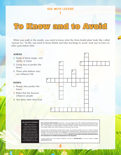

When you walk in the woods, you need to know what the three-leafed plant looks like called "poison ivy." In life, you need to know beliefs and false teachings to avoid. God says to have *no other gods* before Him.



## **UMI MISSION STATEMENT**

*We are called of God to create, produce, and distribute quality Christian education products; to deliver exemplary customer service; and to provide quality Christian educational services, which will empower God's people, especially within the Black community, to evangelize, disciple, and equip people for serving Christ, His kingdom, and church.*

*JBA***®** *(Juniorway***®** *Bible Activities)*, Vol. 29, No. 3. June, July, August 2022. ISSN: 1550-8870. Published quarterly by UMI (Urban Ministries, Inc.), PO Box 436987, Chicago, IL 60643-6987. Founder and Chairman: Melvin E. Banks, Sr., LittD; CEO: C. Jeffrey Wright, JD; Managing Editor: Daschell M. Phillips, MS; Editor: Yolonda Tonette Sanders, MA; Writers:<br>Christy Bailey, Tiffany Croom, Nick G. Giannaras, Crystal Green, Janis Lanning.

Lessons based on International Sunday School Lessons; the International Bible Lessons for Christian Teaching. Copyright © 2017 by the Committee on the Uniform Series. Used by permission. Supplementary Lesson Development. Copyright © 2022 by UMI. All rights reserved. **\$3.59** per copy. Printed in South Korea. All proper names mentioned in this publication are fictional unless otherwise indicated. **NO PART OF THIS PUBLICATION MAY BE REPRODUCED IN ANY FORM WITHOUT THE WRITTEN PERMISSION OF THE PUBLISHER.**

To order: Contact your local Christian bookstore; call UMI at **1-800-860-8642**; or visit our website at **www. urbanministries.com**.

2